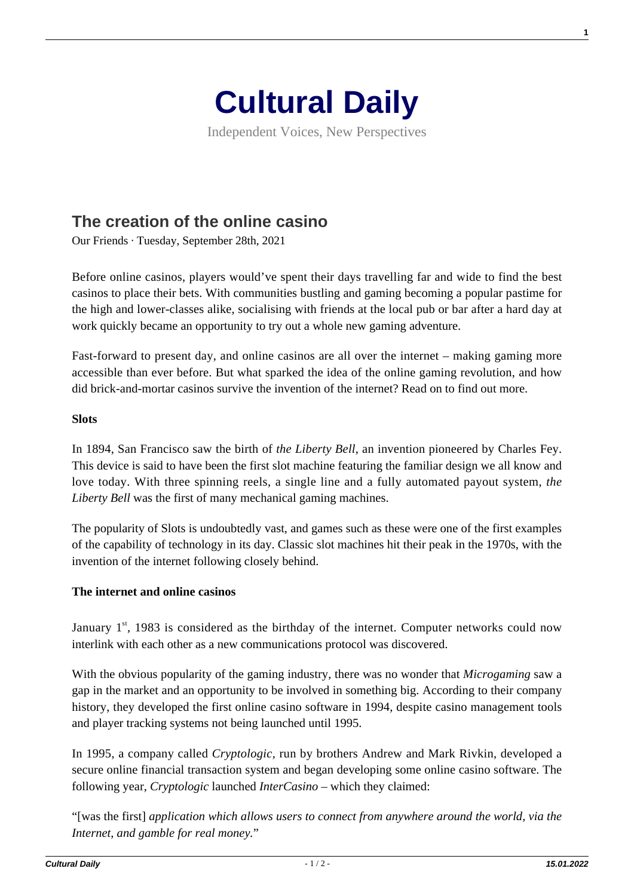

Independent Voices, New Perspectives

## **[The creation of the online casino](https://culturaldaily.com/the-creation-of-the-online-casino/)**

Our Friends · Tuesday, September 28th, 2021

Before online casinos, players would've spent their days travelling far and wide to find the best casinos to place their bets. With communities bustling and gaming becoming a popular pastime for the high and lower-classes alike, socialising with friends at the local pub or bar after a hard day at work quickly became an opportunity to try out a whole new gaming adventure.

Fast-forward to present day, and online casinos are all over the internet – making gaming more accessible than ever before. But what sparked the idea of the online gaming revolution, and how did brick-and-mortar casinos survive the invention of the internet? Read on to find out more.

## **Slots**

In 1894, San Francisco saw the birth of *the Liberty Bell*, an invention pioneered by Charles Fey. This device is said to have been the first slot machine featuring the familiar design we all know and love today. With three spinning reels, a single line and a fully automated payout system, *the Liberty Bell* was the first of many mechanical gaming machines.

The popularity of Slots is undoubtedly vast, and games such as these were one of the first examples of the capability of technology in its day. Classic slot machines hit their peak in the 1970s, with the invention of the internet following closely behind.

## **The internet and online casinos**

January  $1<sup>st</sup>$ , 1983 is considered as the birthday of the internet. Computer networks could now interlink with each other as a new communications protocol was discovered.

With the obvious popularity of the gaming industry, there was no wonder that *Microgaming* saw a gap in the market and an opportunity to be involved in something big. According to their company history, they developed the first online casino software in 1994, despite casino management tools and player tracking systems not being launched until 1995.

In 1995, a company called *Cryptologic,* run by brothers Andrew and Mark Rivkin, developed a secure online financial transaction system and began developing some online casino software. The following year, *Cryptologic* launched *InterCasino* – which they claimed:

"[was the first] *application which allows users to connect from anywhere around the world, via the Internet, and gamble for real money.*"

**1**